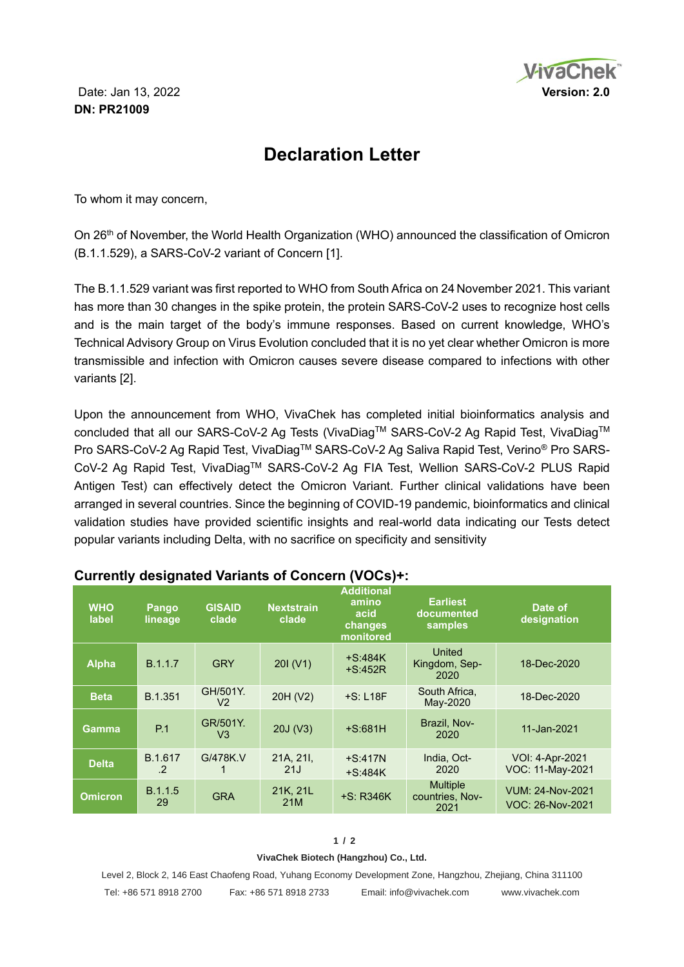

# **Declaration Letter**

To whom it may concern,

On 26th of November, the World Health Organization (WHO) announced the classification of Omicron (B.1.1.529), a SARS-CoV-2 variant of Concern [1].

The B.1.1.529 variant was first reported to WHO from South Africa on 24 November 2021. This variant has more than 30 changes in the spike protein, the protein SARS-CoV-2 uses to recognize host cells and is the main target of the body's immune responses. Based on current knowledge, WHO's Technical Advisory Group on Virus Evolution concluded that it is no yet clear whether Omicron is more transmissible and infection with Omicron causes severe disease compared to infections with other variants [2].

Upon the announcement from WHO, VivaChek has completed initial bioinformatics analysis and concluded that all our SARS-CoV-2 Ag Tests (VivaDiag™ SARS-CoV-2 Ag Rapid Test, VivaDiag™ Pro SARS-CoV-2 Ag Rapid Test, VivaDiag™ SARS-CoV-2 Ag Saliva Rapid Test, Verino® Pro SARS-CoV-2 Ag Rapid Test, VivaDiagTM SARS-CoV-2 Ag FIA Test, Wellion SARS-CoV-2 PLUS Rapid Antigen Test) can effectively detect the Omicron Variant. Further clinical validations have been arranged in several countries. Since the beginning of COVID-19 pandemic, bioinformatics and clinical validation studies have provided scientific insights and real-world data indicating our Tests detect popular variants including Delta, with no sacrifice on specificity and sensitivity

| <b>WHO</b><br>label | <b>Pango</b><br>lineage | <b>GISAID</b><br>clade     | <b>Nextstrain</b><br>clade | <b>Additional</b><br>amino<br>acid<br>changes<br>monitored | <b>Earliest</b><br>documented<br>samples   | Date of<br>designation               |
|---------------------|-------------------------|----------------------------|----------------------------|------------------------------------------------------------|--------------------------------------------|--------------------------------------|
| <b>Alpha</b>        | B.1.1.7                 | <b>GRY</b>                 | 201 (V1)                   | $+S:484K$<br>$+S:452R$                                     | United<br>Kingdom, Sep-<br>2020            | 18-Dec-2020                          |
| <b>Beta</b>         | B.1.351                 | GH/501Y.<br>V <sub>2</sub> | 20H (V2)                   | $+S: L18F$                                                 | South Africa.<br>May-2020                  | 18-Dec-2020                          |
| Gamma               | P.1                     | GR/501Y.<br>V <sub>3</sub> | 20J (V3)                   | $+S:681H$                                                  | Brazil, Nov-<br>2020                       | 11-Jan-2021                          |
| <b>Delta</b>        | B.1.617<br>$\cdot$      | G/478K.V                   | 21A, 21I,<br>21J           | $+S:417N$<br>$+S:484K$                                     | India, Oct-<br>2020                        | VOI: 4-Apr-2021<br>VOC: 11-May-2021  |
| <b>Omicron</b>      | <b>B.1.1.5</b><br>29    | <b>GRA</b>                 | 21K, 21L<br>21M            | $+S$ : R346K                                               | <b>Multiple</b><br>countries, Nov-<br>2021 | VUM: 24-Nov-2021<br>VOC: 26-Nov-2021 |

# **Currently designated Variants of Concern (VOCs)+:**

#### **1 / 2**

#### **VivaChek Biotech (Hangzhou) Co., Ltd.**

Level 2, Block 2, 146 East Chaofeng Road, Yuhang Economy Development Zone, Hangzhou, Zhejiang, China 311100 Tel: +86 571 8918 2700 Fax: +86 571 8918 2733 Email: info@vivachek.com www.vivachek.com